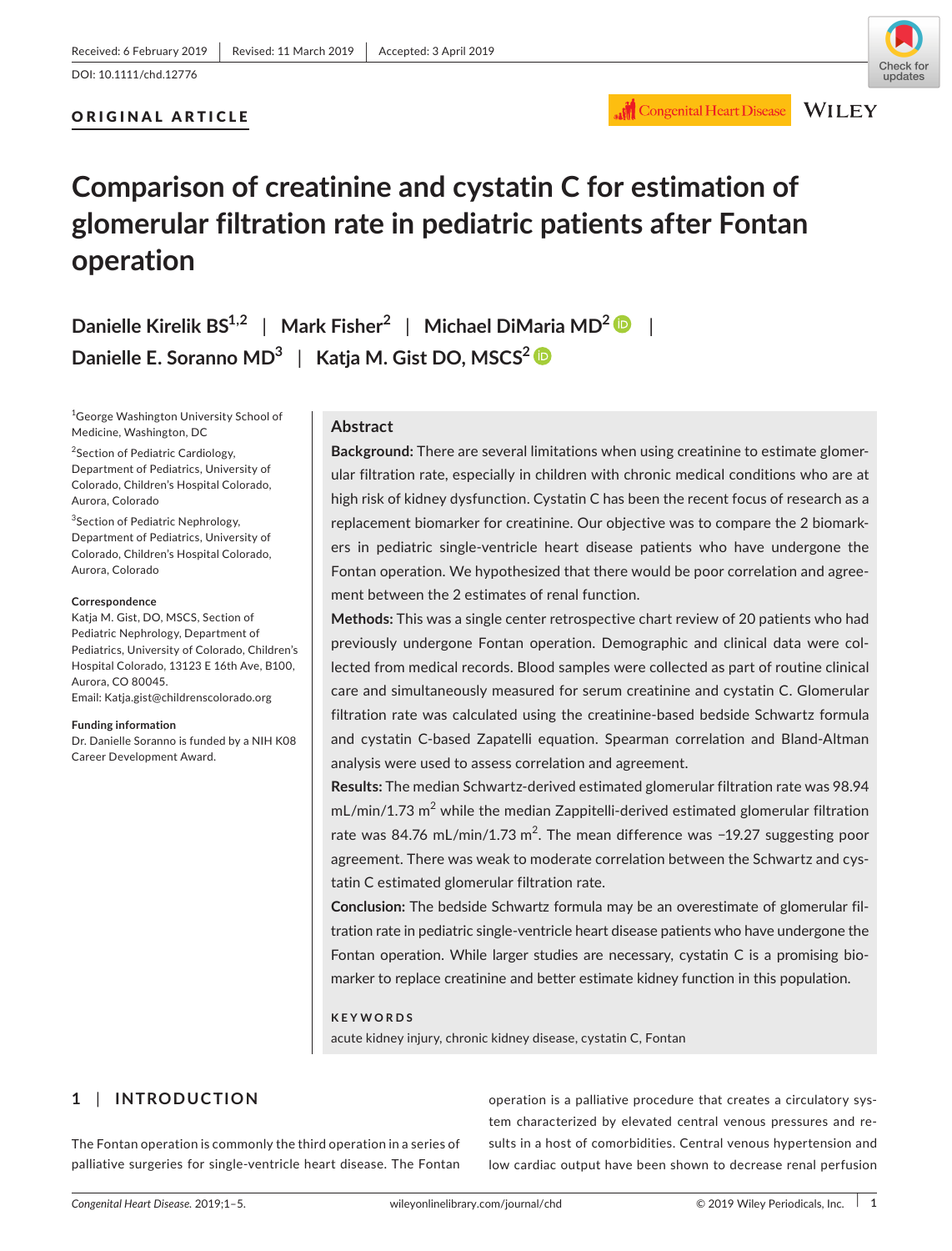## ORIGINAL ARTICLE



## **Congenital Heart Disease**

**WILEY** 

# **Comparison of creatinine and cystatin C for estimation of glomerular filtration rate in pediatric patients after Fontan operation**

**Danielle Kirelik BS1,2** | **Mark Fisher<sup>2</sup>** | **Michael DiMaria MD2** | **Danielle E. Soranno MD3** | **Katja M. Gist DO, MSCS2**

1 George Washington University School of Medicine, Washington, DC

<sup>2</sup>Section of Pediatric Cardiology, Department of Pediatrics, University of Colorado, Children's Hospital Colorado, Aurora, Colorado

<sup>3</sup>Section of Pediatric Nephrology, Department of Pediatrics, University of Colorado, Children's Hospital Colorado, Aurora, Colorado

#### **Correspondence**

Katja M. Gist, DO, MSCS, Section of Pediatric Nephrology, Department of Pediatrics, University of Colorado, Children's Hospital Colorado, 13123 E 16th Ave, B100, Aurora, CO 80045. Email: [Katja.gist@childrenscolorado.org](mailto:Katja.gist@childrenscolorado.org)

#### **Funding information**

Dr. Danielle Soranno is funded by a NIH K08 Career Development Award.

## **Abstract**

**Background:** There are several limitations when using creatinine to estimate glomerular filtration rate, especially in children with chronic medical conditions who are at high risk of kidney dysfunction. Cystatin C has been the recent focus of research as a replacement biomarker for creatinine. Our objective was to compare the 2 biomarkers in pediatric single‐ventricle heart disease patients who have undergone the Fontan operation. We hypothesized that there would be poor correlation and agreement between the 2 estimates of renal function.

**Methods:** This was a single center retrospective chart review of 20 patients who had previously undergone Fontan operation. Demographic and clinical data were collected from medical records. Blood samples were collected as part of routine clinical care and simultaneously measured for serum creatinine and cystatin C. Glomerular filtration rate was calculated using the creatinine‐based bedside Schwartz formula and cystatin C‐based Zapatelli equation. Spearman correlation and Bland‐Altman analysis were used to assess correlation and agreement.

**Results:** The median Schwartz‐derived estimated glomerular filtration rate was 98.94  $mL/min/1.73 m<sup>2</sup>$  while the median Zappitelli-derived estimated glomerular filtration rate was 84.76 mL/min/1.73 m<sup>2</sup>. The mean difference was -19.27 suggesting poor agreement. There was weak to moderate correlation between the Schwartz and cystatin C estimated glomerular filtration rate.

**Conclusion:** The bedside Schwartz formula may be an overestimate of glomerular filtration rate in pediatric single‐ventricle heart disease patients who have undergone the Fontan operation. While larger studies are necessary, cystatin C is a promising biomarker to replace creatinine and better estimate kidney function in this population.

#### **KEYWORDS**

acute kidney injury, chronic kidney disease, cystatin C, Fontan

## **1** | **INTRODUCTION**

The Fontan operation is commonly the third operation in a series of palliative surgeries for single‐ventricle heart disease. The Fontan

operation is a palliative procedure that creates a circulatory system characterized by elevated central venous pressures and results in a host of comorbidities. Central venous hypertension and low cardiac output have been shown to decrease renal perfusion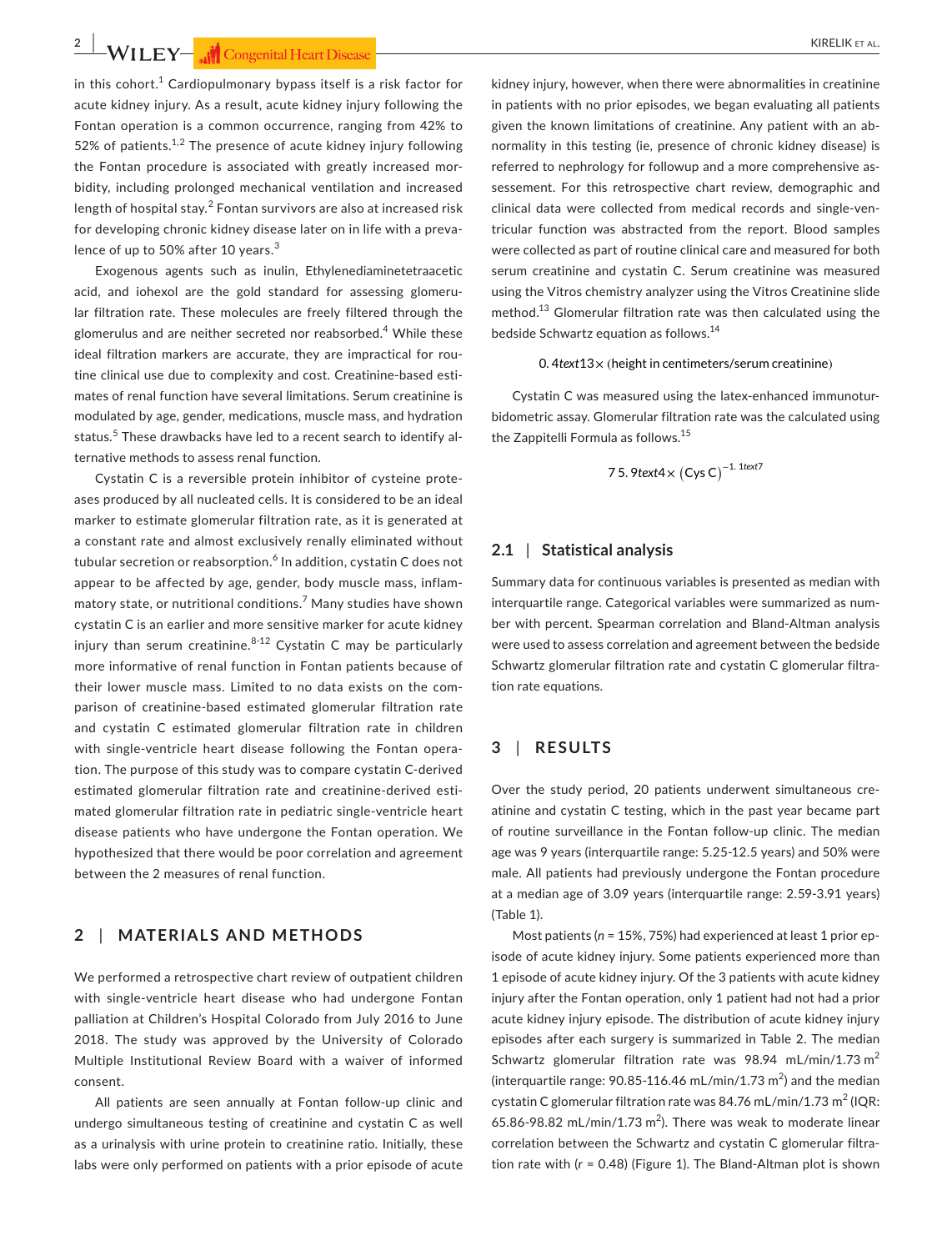**2 |**  KIRELIK et al.

in this cohort.<sup>1</sup> Cardiopulmonary bypass itself is a risk factor for acute kidney injury. As a result, acute kidney injury following the Fontan operation is a common occurrence, ranging from 42% to 52% of patients.<sup>1,2</sup> The presence of acute kidney injury following the Fontan procedure is associated with greatly increased morbidity, including prolonged mechanical ventilation and increased length of hospital stay. $^2$  Fontan survivors are also at increased risk for developing chronic kidney disease later on in life with a prevalence of up to 50% after 10 years.<sup>3</sup>

Exogenous agents such as inulin, Ethylenediaminetetraacetic acid, and iohexol are the gold standard for assessing glomerular filtration rate. These molecules are freely filtered through the glomerulus and are neither secreted nor reabsorbed.<sup>4</sup> While these ideal filtration markers are accurate, they are impractical for routine clinical use due to complexity and cost. Creatinine‐based estimates of renal function have several limitations. Serum creatinine is modulated by age, gender, medications, muscle mass, and hydration status.<sup>5</sup> These drawbacks have led to a recent search to identify alternative methods to assess renal function.

Cystatin C is a reversible protein inhibitor of cysteine proteases produced by all nucleated cells. It is considered to be an ideal marker to estimate glomerular filtration rate, as it is generated at a constant rate and almost exclusively renally eliminated without tubular secretion or reabsorption.<sup>6</sup> In addition, cystatin C does not appear to be affected by age, gender, body muscle mass, inflammatory state, or nutritional conditions.<sup>7</sup> Many studies have shown cystatin C is an earlier and more sensitive marker for acute kidney injury than serum creatinine. $8-12$  Cystatin C may be particularly more informative of renal function in Fontan patients because of their lower muscle mass. Limited to no data exists on the comparison of creatinine‐based estimated glomerular filtration rate and cystatin C estimated glomerular filtration rate in children with single-ventricle heart disease following the Fontan operation. The purpose of this study was to compare cystatin C‐derived estimated glomerular filtration rate and creatinine‐derived estimated glomerular filtration rate in pediatric single‐ventricle heart disease patients who have undergone the Fontan operation. We hypothesized that there would be poor correlation and agreement between the 2 measures of renal function.

## **2** | **MATERIALS AND METHODS**

We performed a retrospective chart review of outpatient children with single‐ventricle heart disease who had undergone Fontan palliation at Children's Hospital Colorado from July 2016 to June 2018. The study was approved by the University of Colorado Multiple Institutional Review Board with a waiver of informed consent.

All patients are seen annually at Fontan follow‐up clinic and undergo simultaneous testing of creatinine and cystatin C as well as a urinalysis with urine protein to creatinine ratio. Initially, these labs were only performed on patients with a prior episode of acute kidney injury, however, when there were abnormalities in creatinine in patients with no prior episodes, we began evaluating all patients given the known limitations of creatinine. Any patient with an abnormality in this testing (ie, presence of chronic kidney disease) is referred to nephrology for followup and a more comprehensive assessement. For this retrospective chart review, demographic and clinical data were collected from medical records and single‐ventricular function was abstracted from the report. Blood samples were collected as part of routine clinical care and measured for both serum creatinine and cystatin C. Serum creatinine was measured using the Vitros chemistry analyzer using the Vitros Creatinine slide method.13 Glomerular filtration rate was then calculated using the bedside Schwartz equation as follows.14

#### 0. 4*text*13× (height in centimeters/serum creatinine)

Cystatin C was measured using the latex‐enhanced immunoturbidometric assay. Glomerular filtration rate was the calculated using the Zappitelli Formula as follows.<sup>15</sup>

7 5. 
$$
9
$$
text4 ×  $(Cys C)^{-1.1$ text7

### **2.1** | **Statistical analysis**

Summary data for continuous variables is presented as median with interquartile range. Categorical variables were summarized as number with percent. Spearman correlation and Bland‐Altman analysis were used to assess correlation and agreement between the bedside Schwartz glomerular filtration rate and cystatin C glomerular filtration rate equations.

## **3** | **RESULTS**

Over the study period, 20 patients underwent simultaneous creatinine and cystatin C testing, which in the past year became part of routine surveillance in the Fontan follow‐up clinic. The median age was 9 years (interquartile range: 5.25‐12.5 years) and 50% were male. All patients had previously undergone the Fontan procedure at a median age of 3.09 years (interquartile range: 2.59‐3.91 years) (Table 1).

Most patients (*n* = 15%, 75%) had experienced at least 1 prior episode of acute kidney injury. Some patients experienced more than 1 episode of acute kidney injury. Of the 3 patients with acute kidney injury after the Fontan operation, only 1 patient had not had a prior acute kidney injury episode. The distribution of acute kidney injury episodes after each surgery is summarized in Table 2. The median Schwartz glomerular filtration rate was 98.94 mL/min/1.73  $m^2$ (interquartile range:  $90.85$ -116.46 mL/min/1.73 m<sup>2</sup>) and the median cystatin C glomerular filtration rate was 84.76 mL/min/1.73 m<sup>2</sup> (IQR: 65.86-98.82 mL/min/1.73 m<sup>2</sup>). There was weak to moderate linear correlation between the Schwartz and cystatin C glomerular filtration rate with (*r* = 0.48) (Figure 1). The Bland‐Altman plot is shown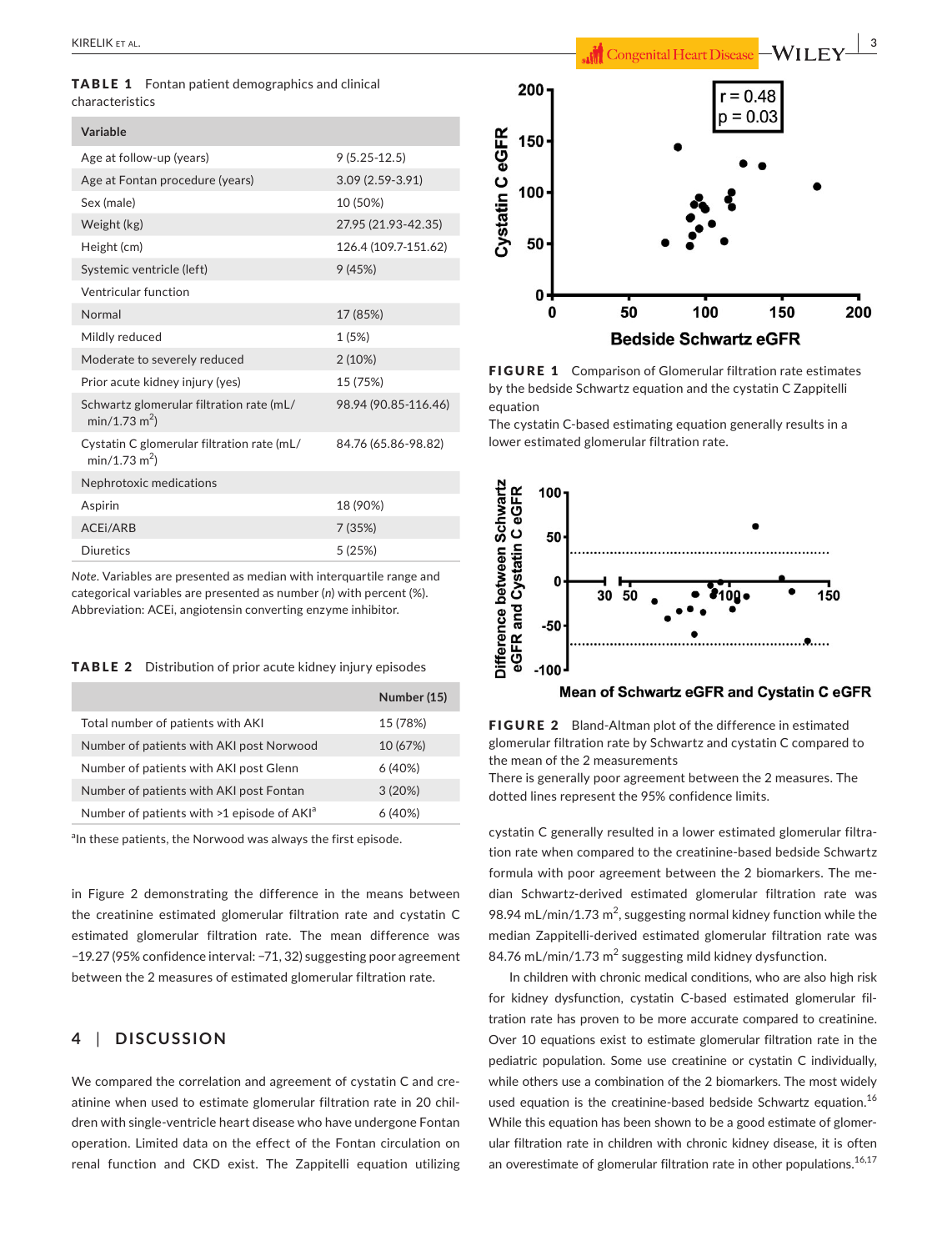TABLE 1 Fontan patient demographics and clinical characteristics

| Variable                                                                |                      |
|-------------------------------------------------------------------------|----------------------|
| Age at follow-up (years)                                                | $9(5.25-12.5)$       |
| Age at Fontan procedure (years)                                         | $3.09(2.59-3.91)$    |
| Sex (male)                                                              | 10 (50%)             |
| Weight (kg)                                                             | 27.95 (21.93-42.35)  |
| Height (cm)                                                             | 126.4 (109.7-151.62) |
| Systemic ventricle (left)                                               | 9(45%)               |
| Ventricular function                                                    |                      |
| Normal                                                                  | 17 (85%)             |
| Mildly reduced                                                          | 1 (5%)               |
| Moderate to severely reduced                                            | 2(10%)               |
| Prior acute kidney injury (yes)                                         | 15 (75%)             |
| Schwartz glomerular filtration rate (mL/<br>$min/1.73$ m <sup>2</sup> ) | 98.94 (90.85-116.46) |
| Cystatin C glomerular filtration rate (mL/<br>$min/1.73 m2$ )           | 84.76 (65.86-98.82)  |
| Nephrotoxic medications                                                 |                      |
| Aspirin                                                                 | 18 (90%)             |
| ACEI/ARB                                                                | 7 (35%)              |
| <b>Diuretics</b>                                                        | 5(25%)               |

*Note*. Variables are presented as median with interquartile range and categorical variables are presented as number (*n*) with percent (%). Abbreviation: ACEi, angiotensin converting enzyme inhibitor.

TABLE 2 Distribution of prior acute kidney injury episodes

|                                                        | Number (15) |
|--------------------------------------------------------|-------------|
| Total number of patients with AKI                      | 15 (78%)    |
| Number of patients with AKI post Norwood               | 10 (67%)    |
| Number of patients with AKI post Glenn                 | 6(40%)      |
| Number of patients with AKI post Fontan                | 3(20%)      |
| Number of patients with >1 episode of AKI <sup>a</sup> | 6(40%)      |

<sup>a</sup>In these patients, the Norwood was always the first episode.

in Figure 2 demonstrating the difference in the means between the creatinine estimated glomerular filtration rate and cystatin C estimated glomerular filtration rate. The mean difference was −19.27 (95% confidence interval: −71, 32) suggesting poor agreement between the 2 measures of estimated glomerular filtration rate.

## **4** | **DISCUSSION**

We compared the correlation and agreement of cystatin C and creatinine when used to estimate glomerular filtration rate in 20 children with single‐ventricle heart disease who have undergone Fontan operation. Limited data on the effect of the Fontan circulation on renal function and CKD exist. The Zappitelli equation utilizing



FIGURE 1 Comparison of Glomerular filtration rate estimates by the bedside Schwartz equation and the cystatin C Zappitelli equation

The cystatin C‐based estimating equation generally results in a lower estimated glomerular filtration rate.



FIGURE 2 Bland-Altman plot of the difference in estimated glomerular filtration rate by Schwartz and cystatin C compared to the mean of the 2 measurements

There is generally poor agreement between the 2 measures. The dotted lines represent the 95% confidence limits.

cystatin C generally resulted in a lower estimated glomerular filtration rate when compared to the creatinine‐based bedside Schwartz formula with poor agreement between the 2 biomarkers. The median Schwartz‐derived estimated glomerular filtration rate was 98.94 mL/min/1.73 m<sup>2</sup>, suggesting normal kidney function while the median Zappitelli‐derived estimated glomerular filtration rate was 84.76 mL/min/1.73  $m^2$  suggesting mild kidney dysfunction.

In children with chronic medical conditions, who are also high risk for kidney dysfunction, cystatin C‐based estimated glomerular filtration rate has proven to be more accurate compared to creatinine. Over 10 equations exist to estimate glomerular filtration rate in the pediatric population. Some use creatinine or cystatin C individually, while others use a combination of the 2 biomarkers. The most widely used equation is the creatinine-based bedside Schwartz equation.<sup>16</sup> While this equation has been shown to be a good estimate of glomerular filtration rate in children with chronic kidney disease, it is often an overestimate of glomerular filtration rate in other populations.<sup>16,17</sup>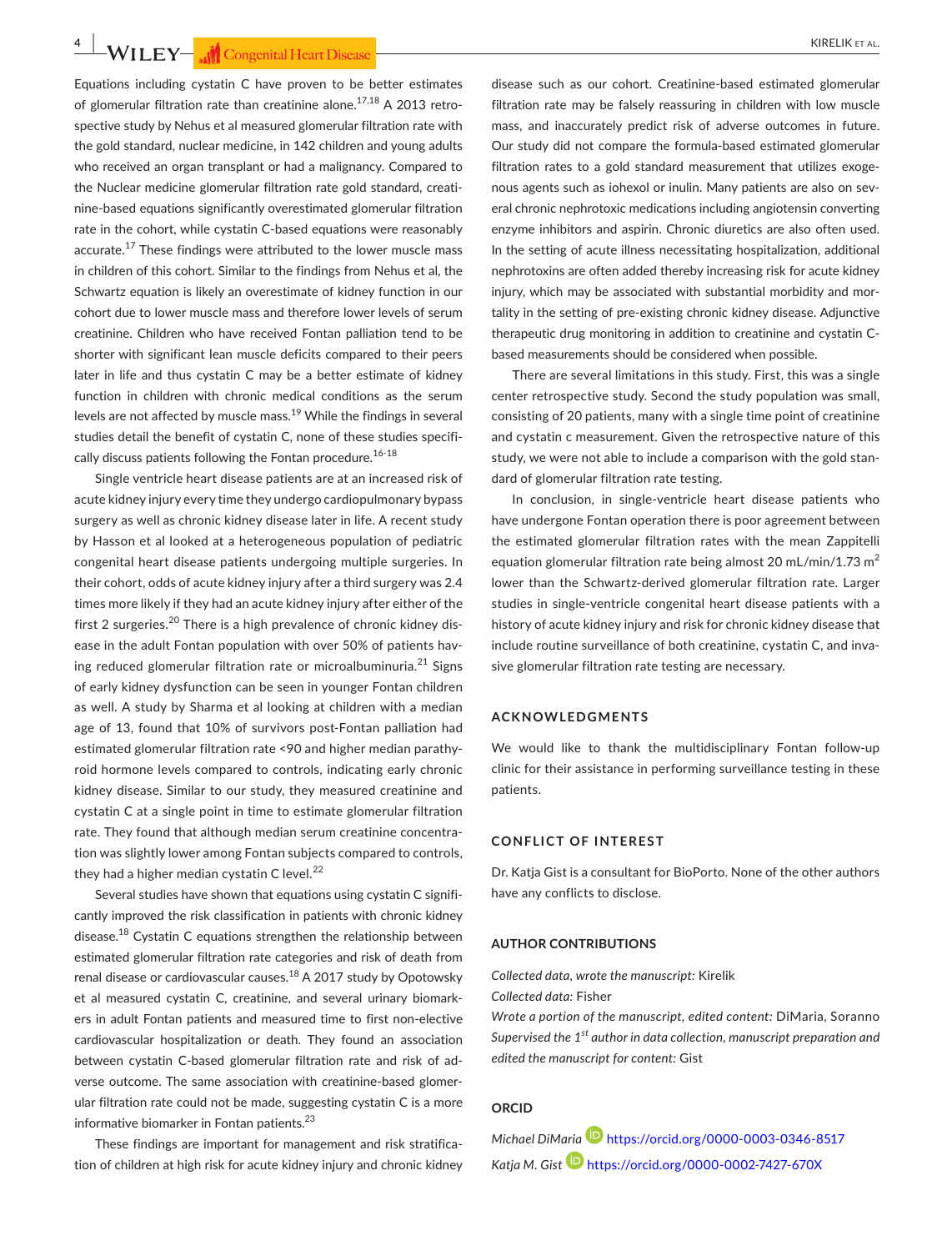**4 • WILEY— and Congenital Heart Disease** 

Equations including cystatin C have proven to be better estimates of glomerular filtration rate than creatinine alone.<sup>17,18</sup> A 2013 retrospective study by Nehus et al measured glomerular filtration rate with the gold standard, nuclear medicine, in 142 children and young adults who received an organ transplant or had a malignancy. Compared to the Nuclear medicine glomerular filtration rate gold standard, creatinine‐based equations significantly overestimated glomerular filtration rate in the cohort, while cystatin C-based equations were reasonably accurate.<sup>17</sup> These findings were attributed to the lower muscle mass in children of this cohort. Similar to the findings from Nehus et al, the Schwartz equation is likely an overestimate of kidney function in our cohort due to lower muscle mass and therefore lower levels of serum creatinine. Children who have received Fontan palliation tend to be shorter with significant lean muscle deficits compared to their peers later in life and thus cystatin C may be a better estimate of kidney function in children with chronic medical conditions as the serum levels are not affected by muscle mass.<sup>19</sup> While the findings in several studies detail the benefit of cystatin C, none of these studies specifically discuss patients following the Fontan procedure. $16-18$ 

Single ventricle heart disease patients are at an increased risk of acute kidney injury every time they undergo cardiopulmonary bypass surgery as well as chronic kidney disease later in life. A recent study by Hasson et al looked at a heterogeneous population of pediatric congenital heart disease patients undergoing multiple surgeries. In their cohort, odds of acute kidney injury after a third surgery was 2.4 times more likely if they had an acute kidney injury after either of the first 2 surgeries.<sup>20</sup> There is a high prevalence of chronic kidney disease in the adult Fontan population with over 50% of patients having reduced glomerular filtration rate or microalbuminuria. $^{21}$  Signs of early kidney dysfunction can be seen in younger Fontan children as well. A study by Sharma et al looking at children with a median age of 13, found that 10% of survivors post‐Fontan palliation had estimated glomerular filtration rate <90 and higher median parathyroid hormone levels compared to controls, indicating early chronic kidney disease. Similar to our study, they measured creatinine and cystatin C at a single point in time to estimate glomerular filtration rate. They found that although median serum creatinine concentration was slightly lower among Fontan subjects compared to controls, they had a higher median cystatin C level. $^{22}$ 

Several studies have shown that equations using cystatin C significantly improved the risk classification in patients with chronic kidney disease.18 Cystatin C equations strengthen the relationship between estimated glomerular filtration rate categories and risk of death from renal disease or cardiovascular causes.<sup>18</sup> A 2017 study by Opotowsky et al measured cystatin C, creatinine, and several urinary biomarkers in adult Fontan patients and measured time to first non‐elective cardiovascular hospitalization or death. They found an association between cystatin C‐based glomerular filtration rate and risk of adverse outcome. The same association with creatinine‐based glomerular filtration rate could not be made, suggesting cystatin C is a more informative biomarker in Fontan patients.<sup>23</sup>

These findings are important for management and risk stratification of children at high risk for acute kidney injury and chronic kidney

disease such as our cohort. Creatinine‐based estimated glomerular filtration rate may be falsely reassuring in children with low muscle mass, and inaccurately predict risk of adverse outcomes in future. Our study did not compare the formula‐based estimated glomerular filtration rates to a gold standard measurement that utilizes exogenous agents such as iohexol or inulin. Many patients are also on several chronic nephrotoxic medications including angiotensin converting enzyme inhibitors and aspirin. Chronic diuretics are also often used. In the setting of acute illness necessitating hospitalization, additional nephrotoxins are often added thereby increasing risk for acute kidney injury, which may be associated with substantial morbidity and mortality in the setting of pre‐existing chronic kidney disease. Adjunctive therapeutic drug monitoring in addition to creatinine and cystatin C‐ based measurements should be considered when possible.

There are several limitations in this study. First, this was a single center retrospective study. Second the study population was small, consisting of 20 patients, many with a single time point of creatinine and cystatin c measurement. Given the retrospective nature of this study, we were not able to include a comparison with the gold standard of glomerular filtration rate testing.

In conclusion, in single‐ventricle heart disease patients who have undergone Fontan operation there is poor agreement between the estimated glomerular filtration rates with the mean Zappitelli equation glomerular filtration rate being almost 20 mL/min/1.73  $m^2$ lower than the Schwartz-derived glomerular filtration rate. Larger studies in single‐ventricle congenital heart disease patients with a history of acute kidney injury and risk for chronic kidney disease that include routine surveillance of both creatinine, cystatin C, and invasive glomerular filtration rate testing are necessary.

#### **ACKNOWLEDGMENTS**

We would like to thank the multidisciplinary Fontan follow-up clinic for their assistance in performing surveillance testing in these patients.

#### **CONFLICT OF INTEREST**

Dr. Katja Gist is a consultant for BioPorto. None of the other authors have any conflicts to disclose.

#### **AUTHOR CONTRIBUTIONS**

*Collected data, wrote the manuscript:* Kirelik

*Collected data:* Fisher

*Wrote a portion of the manuscript, edited content:* DiMaria, Soranno *Supervised the 1st author in data collection, manuscript preparation and edited the manuscript for content:* Gist

#### **ORCID**

*Michael DiMaria* <https://orcid.org/0000-0003-0346-8517> *Katja M. Gist* <https://orcid.org/0000-0002-7427-670X>